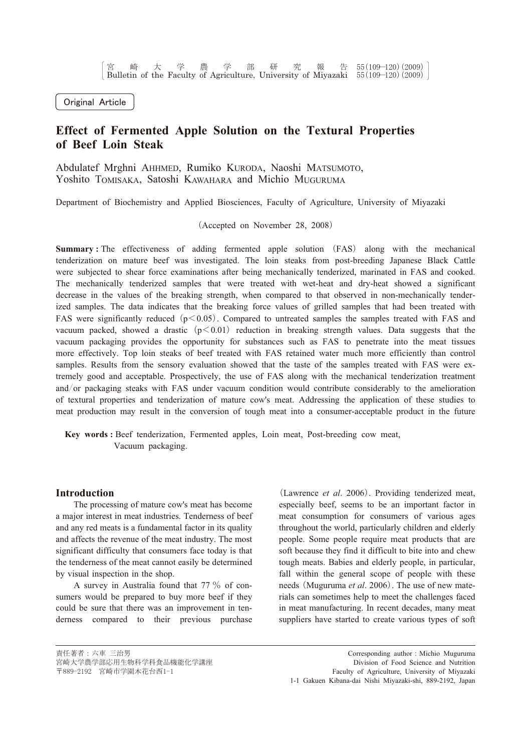Original Article

# Effect of Fermented Apple Solution on the Textural Properties of Beef Loin Steak

Abdulatef Mrghni AHHMED, Rumiko KURODA, Naoshi MATSUMOTO, Yoshito TOMISAKA, Satoshi KAWAHARA and Michio MUGURUMA

Department of Biochemistry and Applied Biosciences, Faculty of Agriculture, University of Miyazaki

(Accepted on November 28, 2008)

**Summary:** The effectiveness of adding fermented apple solution (FAS) along with the mechanical tenderization on mature beef was investigated. The loin steaks from post-breeding Japanese Black Cattle were subjected to shear force examinations after being mechanically tenderized, marinated in FAS and cooked. The mechanically tenderized samples that were treated with wet-heat and dry-heat showed a significant decrease in the values of the breaking strength, when compared to that observed in non-mechanically tenderized samples. The data indicates that the breaking force values of grilled samples that had been treated with FAS were significantly reduced  $(p<0.05)$ . Compared to untreated samples the samples treated with FAS and vacuum packed, showed a drastic  $(p<0.01)$  reduction in breaking strength values. Data suggests that the vacuum packaging provides the opportunity for substances such as FAS to penetrate into the meat tissues more effectively. Top loin steaks of beef treated with FAS retained water much more efficiently than control samples. Results from the sensory evaluation showed that the taste of the samples treated with FAS were extremely good and acceptable. Prospectively, the use of FAS along with the mechanical tenderization treatment and/or packaging steaks with FAS under vacuum condition would contribute considerably to the amelioration of textural properties and tenderization of mature cow's meat. Addressing the application of these studies to meat production may result in the conversion of tough meat into a consumer-acceptable product in the future

Key words: Beef tenderization, Fermented apples, Loin meat, Post-breeding cow meat, Vacuum packaging.

#### **Introduction**

The processing of mature cow's meat has become a major interest in meat industries. Tenderness of beef and any red meats is a fundamental factor in its quality and affects the revenue of the meat industry. The most significant difficulty that consumers face today is that the tenderness of the meat cannot easily be determined by visual inspection in the shop.

A survey in Australia found that 77 % of consumers would be prepared to buy more beef if they could be sure that there was an improvement in tenderness compared to their previous purchase

(Lawrence *et al.* 2006). Providing tenderized meat, especially beef, seems to be an important factor in meat consumption for consumers of various ages throughout the world, particularly children and elderly people. Some people require meat products that are soft because they find it difficult to bite into and chew tough meats. Babies and elderly people, in particular, fall within the general scope of people with these needs (Muguruma et al. 2006). The use of new materials can sometimes help to meet the challenges faced in meat manufacturing. In recent decades, many meat suppliers have started to create various types of soft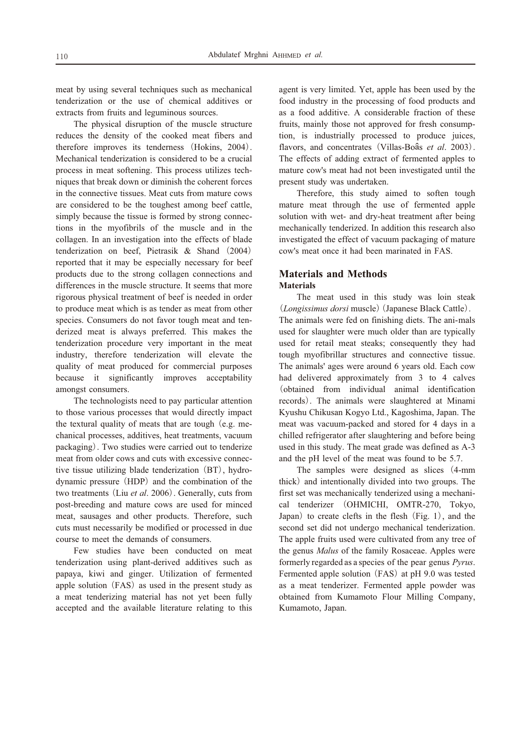meat by using several techniques such as mechanical tenderization or the use of chemical additives or extracts from fruits and leguminous sources.

The physical disruption of the muscle structure reduces the density of the cooked meat fibers and therefore improves its tenderness (Hokins, 2004). Mechanical tenderization is considered to be a crucial process in meat softening. This process utilizes techniques that break down or diminish the coherent forces in the connective tissues. Meat cuts from mature cows are considered to be the toughest among beef cattle, simply because the tissue is formed by strong connections in the myofibrils of the muscle and in the collagen. In an investigation into the effects of blade tenderization on beef. Pietrasik  $\&$  Shand (2004) reported that it may be especially necessary for beef products due to the strong collagen connections and differences in the muscle structure. It seems that more rigorous physical treatment of beef is needed in order to produce meat which is as tender as meat from other species. Consumers do not favor tough meat and tenderized meat is always preferred. This makes the tenderization procedure very important in the meat industry, therefore tenderization will elevate the quality of meat produced for commercial purposes because it significantly improves acceptability amongst consumers.

The technologists need to pay particular attention to those various processes that would directly impact the textural quality of meats that are tough (e.g. mechanical processes, additives, heat treatments, vacuum packaging). Two studies were carried out to tenderize meat from older cows and cuts with excessive connective tissue utilizing blade tenderization (BT), hydrodynamic pressure (HDP) and the combination of the two treatments (Liu et al. 2006). Generally, cuts from post-breeding and mature cows are used for minced meat, sausages and other products. Therefore, such cuts must necessarily be modified or processed in due course to meet the demands of consumers.

Few studies have been conducted on meat tenderization using plant-derived additives such as papaya, kiwi and ginger. Utilization of fermented apple solution (FAS) as used in the present study as a meat tenderizing material has not yet been fully accepted and the available literature relating to this

agent is very limited. Yet, apple has been used by the food industry in the processing of food products and as a food additive. A considerable fraction of these fruits, mainly those not approved for fresh consumption, is industrially processed to produce juices, flavors, and concentrates (Villas-Boâs et al. 2003). The effects of adding extract of fermented apples to mature cow's meat had not been investigated until the present study was undertaken.

Therefore, this study aimed to soften tough mature meat through the use of fermented apple solution with wet- and dry-heat treatment after being mechanically tenderized. In addition this research also investigated the effect of vacuum packaging of mature cow's meat once it had been marinated in FAS.

# **Materials and Methods Materials**

The meat used in this study was loin steak (Longissimus dorsi muscle) (Japanese Black Cattle). The animals were fed on finishing diets. The ani-mals used for slaughter were much older than are typically used for retail meat steaks; consequently they had tough myofibrillar structures and connective tissue. The animals' ages were around 6 years old. Each cow had delivered approximately from 3 to 4 calves (obtained from individual animal identification records). The animals were slaughtered at Minami Kyushu Chikusan Kogyo Ltd., Kagoshima, Japan. The meat was vacuum-packed and stored for 4 days in a chilled refrigerator after slaughtering and before being used in this study. The meat grade was defined as A-3 and the pH level of the meat was found to be 5.7.

The samples were designed as slices (4-mm thick) and intentionally divided into two groups. The first set was mechanically tenderized using a mechanical tenderizer (OHMICHI, OMTR-270, Tokyo, Japan) to create clefts in the flesh  $(Fig. 1)$ , and the second set did not undergo mechanical tenderization. The apple fruits used were cultivated from any tree of the genus Malus of the family Rosaceae. Apples were formerly regarded as a species of the pear genus *Pyrus*. Fermented apple solution (FAS) at pH 9.0 was tested as a meat tenderizer. Fermented apple powder was obtained from Kumamoto Flour Milling Company, Kumamoto, Japan.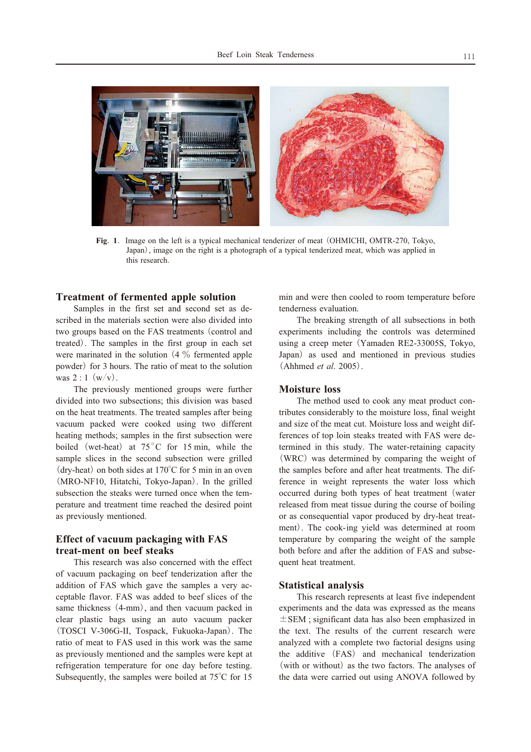

Fig. 1. Image on the left is a typical mechanical tenderizer of meat (OHMICHI, OMTR-270, Tokyo, Japan), image on the right is a photograph of a typical tenderized meat, which was applied in this research.

# **Treatment of fermented apple solution**

Samples in the first set and second set as described in the materials section were also divided into two groups based on the FAS treatments (control and treated). The samples in the first group in each set were marinated in the solution  $(4\%$  fermented apple powder) for 3 hours. The ratio of meat to the solution was  $2:1(w/v)$ .

The previously mentioned groups were further divided into two subsections; this division was based on the heat treatments. The treated samples after being vacuum packed were cooked using two different heating methods; samples in the first subsection were boiled (wet-heat) at  $75^{\circ}$ C for 15 min, while the sample slices in the second subsection were grilled (dry-heat) on both sides at  $170^{\circ}$ C for 5 min in an oven (MRO-NF10, Hitatchi, Tokyo-Japan). In the grilled subsection the steaks were turned once when the temperature and treatment time reached the desired point as previously mentioned.

# **Effect of vacuum packaging with FAS** treat-ment on beef steaks

This research was also concerned with the effect of vacuum packaging on beef tenderization after the addition of FAS which gave the samples a very acceptable flavor. FAS was added to beef slices of the same thickness (4-mm), and then vacuum packed in clear plastic bags using an auto vacuum packer (TOSCI V-306G-II, Tospack, Fukuoka-Japan). The ratio of meat to FAS used in this work was the same as previously mentioned and the samples were kept at refrigeration temperature for one day before testing. Subsequently, the samples were boiled at  $75^{\circ}$ C for 15 min and were then cooled to room temperature before tenderness evaluation.

The breaking strength of all subsections in both experiments including the controls was determined using a creep meter (Yamaden RE2-33005S, Tokyo, Japan) as used and mentioned in previous studies  $(Ahhmed et al. 2005).$ 

# **Moisture loss**

The method used to cook any meat product contributes considerably to the moisture loss, final weight and size of the meat cut. Moisture loss and weight differences of top loin steaks treated with FAS were determined in this study. The water-retaining capacity (WRC) was determined by comparing the weight of the samples before and after heat treatments. The difference in weight represents the water loss which occurred during both types of heat treatment (water released from meat tissue during the course of boiling or as consequential vapor produced by dry-heat treatment). The cook-ing yield was determined at room temperature by comparing the weight of the sample both before and after the addition of FAS and subsequent heat treatment.

#### **Statistical analysis**

This research represents at least five independent experiments and the data was expressed as the means  $\pm$  SEM; significant data has also been emphasized in the text. The results of the current research were analyzed with a complete two factorial designs using the additive (FAS) and mechanical tenderization (with or without) as the two factors. The analyses of the data were carried out using ANOVA followed by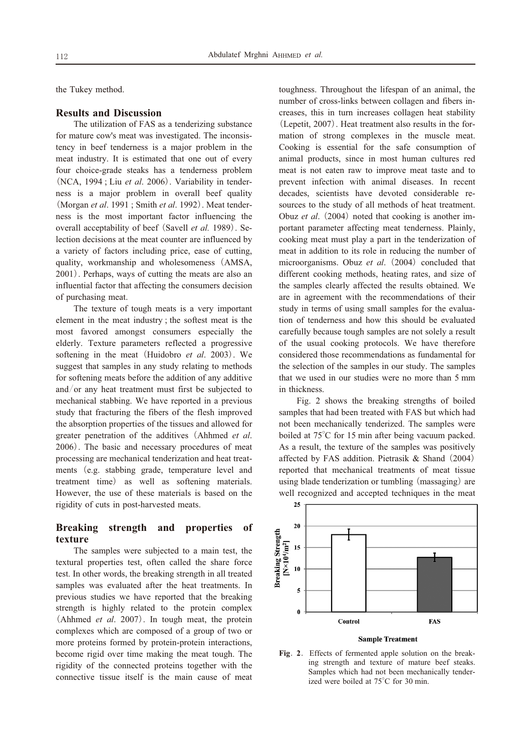the Tukey method.

# **Results and Discussion**

The utilization of FAS as a tenderizing substance for mature cow's meat was investigated. The inconsistency in beef tenderness is a major problem in the meat industry. It is estimated that one out of every four choice-grade steaks has a tenderness problem (NCA, 1994; Liu et al. 2006). Variability in tenderness is a major problem in overall beef quality (Morgan et al. 1991; Smith et al. 1992). Meat tenderness is the most important factor influencing the overall acceptability of beef (Savell et al. 1989). Selection decisions at the meat counter are influenced by a variety of factors including price, ease of cutting. quality, workmanship and wholesomeness (AMSA, 2001). Perhaps, ways of cutting the meats are also an influential factor that affecting the consumers decision of purchasing meat.

The texture of tough meats is a very important element in the meat industry; the softest meat is the most favored amongst consumers especially the elderly. Texture parameters reflected a progressive softening in the meat (Huidobro et al. 2003). We suggest that samples in any study relating to methods for softening meats before the addition of any additive and/or any heat treatment must first be subjected to mechanical stabbing. We have reported in a previous study that fracturing the fibers of the flesh improved the absorption properties of the tissues and allowed for greater penetration of the additives (Ahhmed et al. 2006). The basic and necessary procedures of meat processing are mechanical tenderization and heat treatments (e.g. stabbing grade, temperature level and treatment time) as well as softening materials. However, the use of these materials is based on the rigidity of cuts in post-harvested meats.

#### **Breaking** strength and properties of texture

The samples were subjected to a main test, the textural properties test, often called the share force test. In other words, the breaking strength in all treated samples was evaluated after the heat treatments. In previous studies we have reported that the breaking strength is highly related to the protein complex (Ahhmed et al. 2007). In tough meat, the protein complexes which are composed of a group of two or more proteins formed by protein-protein interactions, become rigid over time making the meat tough. The rigidity of the connected proteins together with the connective tissue itself is the main cause of meat

toughness. Throughout the lifespan of an animal, the number of cross-links between collagen and fibers increases, this in turn increases collagen heat stability (Lepetit, 2007). Heat treatment also results in the formation of strong complexes in the muscle meat. Cooking is essential for the safe consumption of animal products, since in most human cultures red meat is not eaten raw to improve meat taste and to prevent infection with animal diseases. In recent decades, scientists have devoted considerable resources to the study of all methods of heat treatment. Obuz et al. (2004) noted that cooking is another important parameter affecting meat tenderness. Plainly, cooking meat must play a part in the tenderization of meat in addition to its role in reducing the number of microorganisms. Obuz et al. (2004) concluded that different cooking methods, heating rates, and size of the samples clearly affected the results obtained. We are in agreement with the recommendations of their study in terms of using small samples for the evaluation of tenderness and how this should be evaluated carefully because tough samples are not solely a result of the usual cooking protocols. We have therefore considered those recommendations as fundamental for the selection of the samples in our study. The samples that we used in our studies were no more than 5 mm in thickness.

Fig. 2 shows the breaking strengths of boiled samples that had been treated with FAS but which had not been mechanically tenderized. The samples were boiled at  $75^{\circ}$ C for 15 min after being vacuum packed. As a result, the texture of the samples was positively affected by FAS addition. Pietrasik & Shand (2004) reported that mechanical treatments of meat tissue using blade tenderization or tumbling (massaging) are well recognized and accepted techniques in the meat



#### **Sample Treatment**

Fig. 2. Effects of fermented apple solution on the breaking strength and texture of mature beef steaks. Samples which had not been mechanically tenderized were boiled at 75°C for 30 min.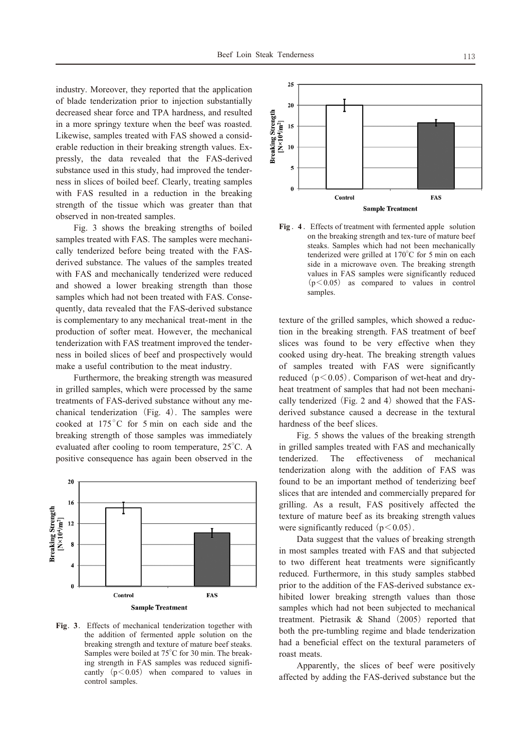industry. Moreover, they reported that the application of blade tenderization prior to injection substantially decreased shear force and TPA hardness, and resulted in a more springy texture when the beef was roasted. Likewise, samples treated with FAS showed a considerable reduction in their breaking strength values. Expressly, the data revealed that the FAS-derived substance used in this study, had improved the tenderness in slices of boiled beef. Clearly, treating samples with FAS resulted in a reduction in the breaking strength of the tissue which was greater than that observed in non-treated samples.

Fig. 3 shows the breaking strengths of boiled samples treated with FAS. The samples were mechanically tenderized before being treated with the FASderived substance. The values of the samples treated with FAS and mechanically tenderized were reduced and showed a lower breaking strength than those samples which had not been treated with FAS. Consequently, data revealed that the FAS-derived substance is complementary to any mechanical treat-ment in the production of softer meat. However, the mechanical tenderization with FAS treatment improved the tenderness in boiled slices of beef and prospectively would make a useful contribution to the meat industry.

Furthermore, the breaking strength was measured in grilled samples, which were processed by the same treatments of FAS-derived substance without any mechanical tenderization (Fig. 4). The samples were cooked at 175°C for 5 min on each side and the breaking strength of those samples was immediately evaluated after cooling to room temperature, 25°C. A positive consequence has again been observed in the



Fig. 3. Effects of mechanical tenderization together with the addition of fermented apple solution on the breaking strength and texture of mature beef steaks. Samples were boiled at 75°C for 30 min. The breaking strength in FAS samples was reduced significantly  $(p<0.05)$  when compared to values in control samples.



Fig. 4. Effects of treatment with fermented apple solution on the breaking strength and tex-ture of mature beef steaks. Samples which had not been mechanically tenderized were grilled at 170°C for 5 min on each side in a microwave oven. The breaking strength values in FAS samples were significantly reduced  $(p<0.05)$  as compared to values in control samples.

texture of the grilled samples, which showed a reduction in the breaking strength. FAS treatment of beef slices was found to be very effective when they cooked using dry-heat. The breaking strength values of samples treated with FAS were significantly reduced  $(p<0.05)$ . Comparison of wet-heat and dryheat treatment of samples that had not been mechanically tenderized (Fig. 2 and 4) showed that the FASderived substance caused a decrease in the textural hardness of the beef slices.

Fig. 5 shows the values of the breaking strength in grilled samples treated with FAS and mechanically tenderized. The effectiveness of mechanical tenderization along with the addition of FAS was found to be an important method of tenderizing beef slices that are intended and commercially prepared for grilling. As a result, FAS positively affected the texture of mature beef as its breaking strength values were significantly reduced  $(p<0.05)$ .

Data suggest that the values of breaking strength in most samples treated with FAS and that subjected to two different heat treatments were significantly reduced. Furthermore, in this study samples stabbed prior to the addition of the FAS-derived substance exhibited lower breaking strength values than those samples which had not been subjected to mechanical treatment. Pietrasik & Shand (2005) reported that both the pre-tumbling regime and blade tenderization had a beneficial effect on the textural parameters of roast meats.

Apparently, the slices of beef were positively affected by adding the FAS-derived substance but the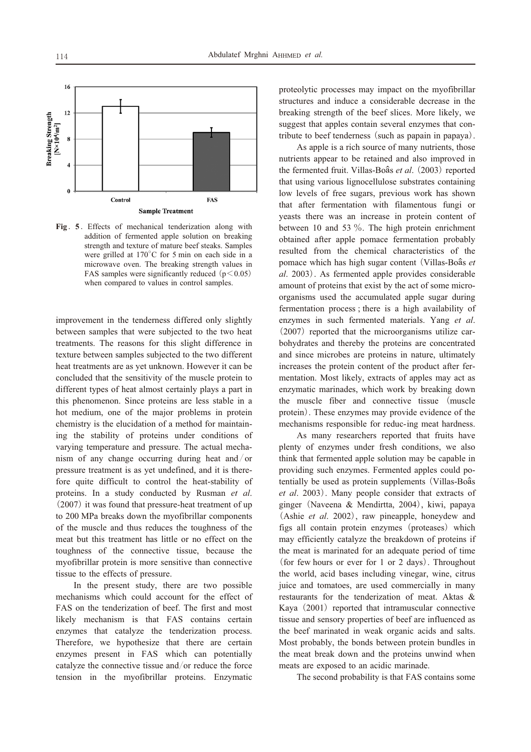

Fig. 5. Effects of mechanical tenderization along with addition of fermented apple solution on breaking strength and texture of mature beef steaks. Samples were grilled at  $170^{\circ}$ C for 5 min on each side in a microwave oven. The breaking strength values in FAS samples were significantly reduced  $(p<0.05)$ when compared to values in control samples.

improvement in the tenderness differed only slightly between samples that were subjected to the two heat treatments. The reasons for this slight difference in texture between samples subjected to the two different heat treatments are as yet unknown. However it can be concluded that the sensitivity of the muscle protein to different types of heat almost certainly plays a part in this phenomenon. Since proteins are less stable in a hot medium, one of the major problems in protein chemistry is the elucidation of a method for maintaining the stability of proteins under conditions of varying temperature and pressure. The actual mechanism of any change occurring during heat and/or pressure treatment is as yet undefined, and it is therefore quite difficult to control the heat-stability of proteins. In a study conducted by Rusman et al. (2007) it was found that pressure-heat treatment of up to 200 MPa breaks down the myofibrillar components of the muscle and thus reduces the toughness of the meat but this treatment has little or no effect on the toughness of the connective tissue, because the myofibrillar protein is more sensitive than connective tissue to the effects of pressure.

In the present study, there are two possible mechanisms which could account for the effect of FAS on the tenderization of beef. The first and most likely mechanism is that FAS contains certain enzymes that catalyze the tenderization process. Therefore, we hypothesize that there are certain enzymes present in FAS which can potentially catalyze the connective tissue and/or reduce the force tension in the myofibrillar proteins. Enzymatic proteolytic processes may impact on the myofibrillar structures and induce a considerable decrease in the breaking strength of the beef slices. More likely, we suggest that apples contain several enzymes that contribute to beef tenderness (such as papain in papaya).

As apple is a rich source of many nutrients, those nutrients appear to be retained and also improved in the fermented fruit. Villas-Boâs et al. (2003) reported that using various lignocellulose substrates containing low levels of free sugars, previous work has shown that after fermentation with filamentous fungi or yeasts there was an increase in protein content of between 10 and 53  $\%$ . The high protein enrichment obtained after apple pomace fermentation probably resulted from the chemical characteristics of the pomace which has high sugar content (Villas-Boâs et al. 2003). As fermented apple provides considerable amount of proteins that exist by the act of some microorganisms used the accumulated apple sugar during fermentation process : there is a high availability of enzymes in such fermented materials. Yang et al. (2007) reported that the microorganisms utilize carbohydrates and thereby the proteins are concentrated and since microbes are proteins in nature, ultimately increases the protein content of the product after fermentation. Most likely, extracts of apples may act as enzymatic marinades, which work by breaking down the muscle fiber and connective tissue (muscle protein). These enzymes may provide evidence of the mechanisms responsible for reduc-ing meat hardness.

As many researchers reported that fruits have plenty of enzymes under fresh conditions, we also think that fermented apple solution may be capable in providing such enzymes. Fermented apples could potentially be used as protein supplements (Villas-Boâs et al. 2003). Many people consider that extracts of ginger (Naveena & Mendirtta, 2004), kiwi, papaya (Ashie *et al.* 2002), raw pineapple, honeydew and figs all contain protein enzymes (proteases) which may efficiently catalyze the breakdown of proteins if the meat is marinated for an adequate period of time (for few hours or ever for 1 or 2 days). Throughout the world, acid bases including vinegar, wine, citrus juice and tomatoes, are used commercially in many restaurants for the tenderization of meat. Aktas & Kaya (2001) reported that intramuscular connective tissue and sensory properties of beef are influenced as the beef marinated in weak organic acids and salts. Most probably, the bonds between protein bundles in the meat break down and the proteins unwind when meats are exposed to an acidic marinade.

The second probability is that FAS contains some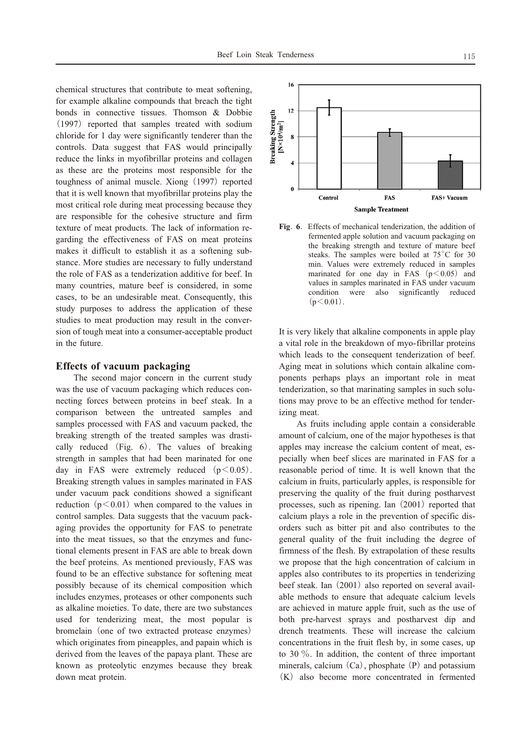chemical structures that contribute to meat softening, for example alkaline compounds that breach the tight bonds in connective tissues. Thomson & Dobbie (1997) reported that samples treated with sodium chloride for 1 day were significantly tenderer than the controls. Data suggest that FAS would principally reduce the links in myofibrillar proteins and collagen as these are the proteins most responsible for the toughness of animal muscle. Xiong (1997) reported that it is well known that myofibrillar proteins play the most critical role during meat processing because they are responsible for the cohesive structure and firm texture of meat products. The lack of information regarding the effectiveness of FAS on meat proteins makes it difficult to establish it as a softening substance. More studies are necessary to fully understand the role of FAS as a tenderization additive for beef. In many countries, mature beef is considered, in some cases, to be an undesirable meat. Consequently, this study purposes to address the application of these studies to meat production may result in the conversion of tough meat into a consumer-acceptable product in the future.

## **Effects of vacuum packaging**

The second major concern in the current study was the use of vacuum packaging which reduces connecting forces between proteins in beef steak. In a comparison between the untreated samples and samples processed with FAS and vacuum packed, the breaking strength of the treated samples was drastically reduced (Fig. 6). The values of breaking strength in samples that had been marinated for one day in FAS were extremely reduced  $(p<0.05)$ . Breaking strength values in samples marinated in FAS under vacuum pack conditions showed a significant reduction  $(p<0.01)$  when compared to the values in control samples. Data suggests that the vacuum packaging provides the opportunity for FAS to penetrate into the meat tissues, so that the enzymes and functional elements present in FAS are able to break down the beef proteins. As mentioned previously, FAS was found to be an effective substance for softening meat possibly because of its chemical composition which includes enzymes, proteases or other components such as alkaline moieties. To date, there are two substances used for tenderizing meat, the most popular is bromelain (one of two extracted protease enzymes) which originates from pineapples, and papain which is derived from the leaves of the papaya plant. These are known as proteolytic enzymes because they break down meat protein.



Fig. 6. Effects of mechanical tenderization, the addition of fermented apple solution and vacuum packaging on the breaking strength and texture of mature beef steaks. The samples were boiled at 75°C for 30 min. Values were extremely reduced in samples marinated for one day in FAS  $(p<0.05)$  and values in samples marinated in FAS under vacuum were also significantly condition reduced  $(p<0.01)$ .

It is very likely that alkaline components in apple play a vital role in the breakdown of myo-fibrillar proteins which leads to the consequent tenderization of beef. Aging meat in solutions which contain alkaline components perhaps plays an important role in meat tenderization, so that marinating samples in such solutions may prove to be an effective method for tenderizing meat.

As fruits including apple contain a considerable amount of calcium, one of the major hypotheses is that apples may increase the calcium content of meat, especially when beef slices are marinated in FAS for a reasonable period of time. It is well known that the calcium in fruits, particularly apples, is responsible for preserving the quality of the fruit during postharvest processes, such as ripening. Ian  $(2001)$  reported that calcium plays a role in the prevention of specific disorders such as bitter pit and also contributes to the general quality of the fruit including the degree of firmness of the flesh. By extrapolation of these results we propose that the high concentration of calcium in apples also contributes to its properties in tenderizing beef steak. Ian (2001) also reported on several available methods to ensure that adequate calcium levels are achieved in mature apple fruit, such as the use of both pre-harvest sprays and postharvest dip and drench treatments. These will increase the calcium concentrations in the fruit flesh by, in some cases, up to 30  $\%$ . In addition, the content of three important minerals, calcium  $(Ca)$ , phosphate  $(P)$  and potassium (K) also become more concentrated in fermented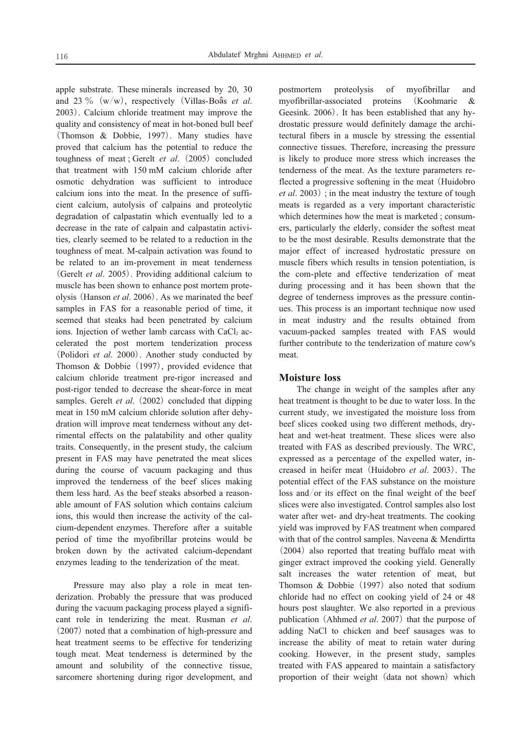apple substrate. These minerals increased by 20, 30 and 23 % (w/w), respectively (Villas-Boâs et al. 2003). Calcium chloride treatment may improve the quality and consistency of meat in hot-boned bull beef (Thomson & Dobbie, 1997). Many studies have proved that calcium has the potential to reduce the toughness of meat; Gerelt et al. (2005) concluded that treatment with 150 mM calcium chloride after osmotic dehydration was sufficient to introduce calcium ions into the meat. In the presence of sufficient calcium, autolysis of calpains and proteolytic degradation of calpastatin which eventually led to a decrease in the rate of calpain and calpastatin activities, clearly seemed to be related to a reduction in the toughness of meat. M-calpain activation was found to be related to an im-provement in meat tenderness (Gerelt et al. 2005). Providing additional calcium to muscle has been shown to enhance post mortem proteolysis (Hanson et al. 2006). As we marinated the beef samples in FAS for a reasonable period of time, it seemed that steaks had been penetrated by calcium ions. Injection of wether lamb carcass with CaCl2 accelerated the post mortem tenderization process (Polidori et al. 2000). Another study conducted by Thomson & Dobbie  $(1997)$ , provided evidence that calcium chloride treatment pre-rigor increased and post-rigor tended to decrease the shear-force in meat samples. Gerelt et al. (2002) concluded that dipping meat in 150 mM calcium chloride solution after dehydration will improve meat tenderness without any detrimental effects on the palatability and other quality traits. Consequently, in the present study, the calcium present in FAS may have penetrated the meat slices during the course of vacuum packaging and thus improved the tenderness of the beef slices making them less hard. As the beef steaks absorbed a reasonable amount of FAS solution which contains calcium ions, this would then increase the activity of the calcium-dependent enzymes. Therefore after a suitable period of time the myofibrillar proteins would be broken down by the activated calcium-dependant enzymes leading to the tenderization of the meat.

Pressure may also play a role in meat tenderization. Probably the pressure that was produced during the vacuum packaging process played a significant role in tenderizing the meat. Rusman et al.  $(2007)$  noted that a combination of high-pressure and heat treatment seems to be effective for tenderizing tough meat. Meat tenderness is determined by the amount and solubility of the connective tissue, sarcomere shortening during rigor development, and

postmortem proteolysis of myofibrillar and myofibrillar-associated proteins (Koohmarie  $\&$ Geesink. 2006). It has been established that any hydrostatic pressure would definitely damage the architectural fibers in a muscle by stressing the essential connective tissues. Therefore, increasing the pressure is likely to produce more stress which increases the tenderness of the meat. As the texture parameters reflected a progressive softening in the meat (Huidobro) *et al.* 2003); in the meat industry the texture of tough meats is regarded as a very important characteristic which determines how the meat is marketed; consumers, particularly the elderly, consider the softest meat to be the most desirable. Results demonstrate that the major effect of increased hydrostatic pressure on muscle fibers which results in tension potentiation, is the com-plete and effective tenderization of meat during processing and it has been shown that the degree of tenderness improves as the pressure continues. This process is an important technique now used in meat industry and the results obtained from vacuum-packed samples treated with FAS would further contribute to the tenderization of mature cow's meat.

### **Moisture** loss

The change in weight of the samples after any heat treatment is thought to be due to water loss. In the current study, we investigated the moisture loss from beef slices cooked using two different methods, dryheat and wet-heat treatment. These slices were also treated with FAS as described previously. The WRC, expressed as a percentage of the expelled water, increased in heifer meat (Huidobro et al. 2003). The potential effect of the FAS substance on the moisture loss and/or its effect on the final weight of the beef slices were also investigated. Control samples also lost water after wet- and dry-heat treatments. The cooking yield was improved by FAS treatment when compared with that of the control samples. Naveena & Mendirtta (2004) also reported that treating buffalo meat with ginger extract improved the cooking yield. Generally salt increases the water retention of meat, but Thomson  $\&$  Dobbie (1997) also noted that sodium chloride had no effect on cooking yield of 24 or 48 hours post slaughter. We also reported in a previous publication (Ahhmed et al. 2007) that the purpose of adding NaCl to chicken and beef sausages was to increase the ability of meat to retain water during cooking. However, in the present study, samples treated with FAS appeared to maintain a satisfactory proportion of their weight (data not shown) which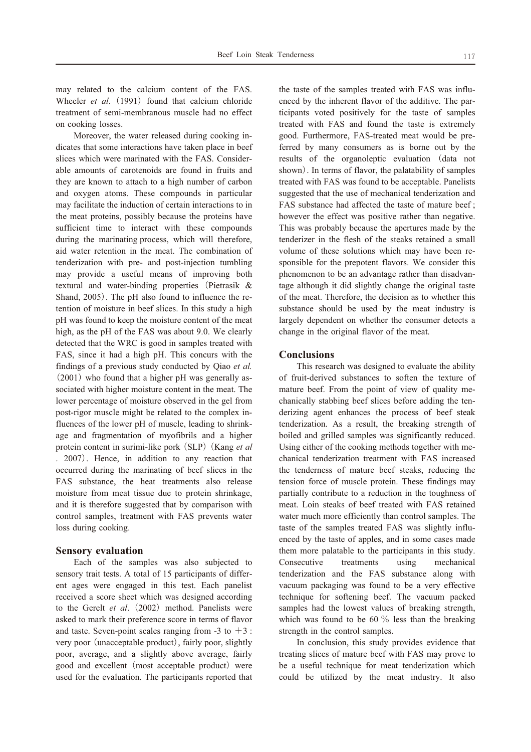may related to the calcium content of the FAS. Wheeler et al. (1991) found that calcium chloride treatment of semi-membranous muscle had no effect on cooking losses.

Moreover, the water released during cooking indicates that some interactions have taken place in beef slices which were marinated with the FAS. Considerable amounts of carotenoids are found in fruits and they are known to attach to a high number of carbon and oxygen atoms. These compounds in particular may facilitate the induction of certain interactions to in the meat proteins, possibly because the proteins have sufficient time to interact with these compounds during the marinating process, which will therefore, aid water retention in the meat. The combination of tenderization with pre- and post-injection tumbling may provide a useful means of improving both textural and water-binding properties (Pietrasik & Shand, 2005). The pH also found to influence the retention of moisture in beef slices. In this study a high pH was found to keep the moisture content of the meat high, as the pH of the FAS was about 9.0. We clearly detected that the WRC is good in samples treated with FAS, since it had a high pH. This concurs with the findings of a previous study conducted by Qiao et al.  $(2001)$  who found that a higher pH was generally associated with higher moisture content in the meat. The lower percentage of moisture observed in the gel from post-rigor muscle might be related to the complex influences of the lower pH of muscle, leading to shrinkage and fragmentation of myofibrils and a higher protein content in surimi-like pork (SLP) (Kang et al . 2007). Hence, in addition to any reaction that occurred during the marinating of beef slices in the FAS substance, the heat treatments also release moisture from meat tissue due to protein shrinkage, and it is therefore suggested that by comparison with control samples, treatment with FAS prevents water loss during cooking.

#### **Sensory evaluation**

Each of the samples was also subjected to sensory trait tests. A total of 15 participants of different ages were engaged in this test. Each panelist received a score sheet which was designed according to the Gerelt et al. (2002) method. Panelists were asked to mark their preference score in terms of flavor and taste. Seven-point scales ranging from -3 to  $+3$ : very poor (unacceptable product), fairly poor, slightly poor, average, and a slightly above average, fairly good and excellent (most acceptable product) were used for the evaluation. The participants reported that

the taste of the samples treated with FAS was influenced by the inherent flavor of the additive. The participants voted positively for the taste of samples treated with FAS and found the taste is extremely good. Furthermore, FAS-treated meat would be preferred by many consumers as is borne out by the results of the organoleptic evaluation (data not shown). In terms of flavor, the palatability of samples treated with FAS was found to be acceptable. Panelists suggested that the use of mechanical tenderization and FAS substance had affected the taste of mature beef; however the effect was positive rather than negative. This was probably because the apertures made by the tenderizer in the flesh of the steaks retained a small volume of these solutions which may have been responsible for the prepotent flavors. We consider this phenomenon to be an advantage rather than disadvantage although it did slightly change the original taste of the meat. Therefore, the decision as to whether this substance should be used by the meat industry is largely dependent on whether the consumer detects a change in the original flavor of the meat.

#### **Conclusions**

This research was designed to evaluate the ability of fruit-derived substances to soften the texture of mature beef. From the point of view of quality mechanically stabbing beef slices before adding the tenderizing agent enhances the process of beef steak tenderization. As a result, the breaking strength of boiled and grilled samples was significantly reduced. Using either of the cooking methods together with mechanical tenderization treatment with FAS increased the tenderness of mature beef steaks, reducing the tension force of muscle protein. These findings may partially contribute to a reduction in the toughness of meat. Loin steaks of beef treated with FAS retained water much more efficiently than control samples. The taste of the samples treated FAS was slightly influenced by the taste of apples, and in some cases made them more palatable to the participants in this study. treatments Consecutive using mechanical tenderization and the FAS substance along with vacuum packaging was found to be a very effective technique for softening beef. The vacuum packed samples had the lowest values of breaking strength, which was found to be 60  $\%$  less than the breaking strength in the control samples.

In conclusion, this study provides evidence that treating slices of mature beef with FAS may prove to be a useful technique for meat tenderization which could be utilized by the meat industry. It also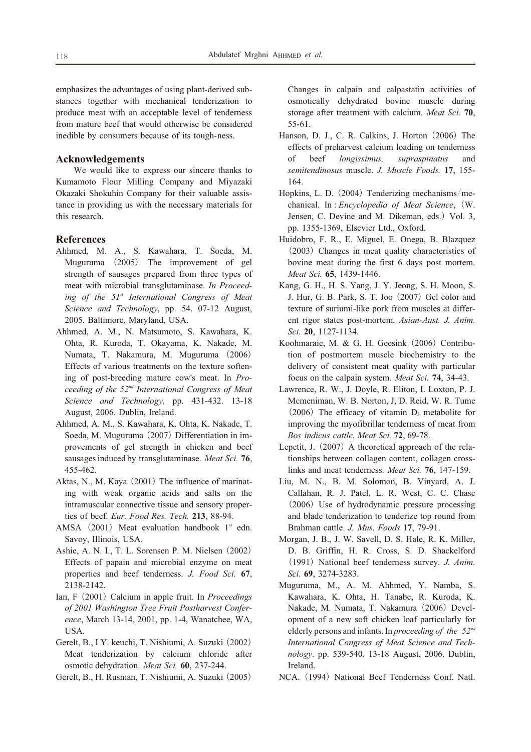emphasizes the advantages of using plant-derived substances together with mechanical tenderization to produce meat with an acceptable level of tenderness from mature beef that would otherwise be considered inedible by consumers because of its tough-ness.

#### Acknowledgements

We would like to express our sincere thanks to Kumamoto Flour Milling Company and Miyazaki Okazaki Shokuhin Company for their valuable assistance in providing us with the necessary materials for this research.

#### **References**

- Ahhmed, M. A., S. Kawahara, T. Soeda, M. Muguruma (2005) The improvement of gel strength of sausages prepared from three types of meat with microbial transglutaminase. In Proceeding of the 51<sup>st</sup> International Congress of Meat Science and Technology, pp. 54, 07-12 August, 2005. Baltimore, Maryland, USA.
- Ahhmed, A. M., N. Matsumoto, S. Kawahara, K. Ohta, R. Kuroda, T. Okayama, K. Nakade, M. Numata, T. Nakamura, M. Muguruma (2006) Effects of various treatments on the texture softening of post-breeding mature cow's meat. In Proceeding of the  $52<sup>nd</sup>$  International Congress of Meat Science and Technology, pp. 431-432. 13-18 August, 2006. Dublin, Ireland.
- Ahhmed, A. M., S. Kawahara, K. Ohta, K. Nakade, T. Soeda, M. Muguruma (2007) Differentiation in improvements of gel strength in chicken and beef sausages induced by transglutaminase. Meat Sci. 76, 455-462.
- Aktas, N., M. Kaya (2001) The influence of marinating with weak organic acids and salts on the intramuscular connective tissue and sensory properties of beef. Eur. Food Res. Tech. 213, 88-94.
- AMSA (2001) Meat evaluation handbook 1<sup>st</sup> edn. Savoy, Illinois, USA.
- Ashie, A. N. I., T. L. Sorensen P. M. Nielsen (2002) Effects of papain and microbial enzyme on meat properties and beef tenderness. J. Food Sci. 67, 2138-2142.
- Ian, F (2001) Calcium in apple fruit. In *Proceedings* of 2001 Washington Tree Fruit Postharvest Conference, March 13-14, 2001, pp. 1-4, Wanatchee, WA, USA.
- Gerelt, B., I Y. keuchi, T. Nishiumi, A. Suzuki (2002) Meat tenderization by calcium chloride after osmotic dehydration. Meat Sci. 60, 237-244.
- Gerelt, B., H. Rusman, T. Nishiumi, A. Suzuki (2005)

Changes in calpain and calpastatin activities of osmotically dehydrated bovine muscle during storage after treatment with calcium. Meat Sci. 70,  $55-61.$ 

- Hanson, D. J., C. R. Calkins, J. Horton (2006) The effects of preharvest calcium loading on tenderness of beef longissimus, supraspinatus and semitendinosus muscle. J. Muscle Foods. 17, 155-164.
- Hopkins, L. D. (2004) Tenderizing mechanisms/mechanical. In: Encyclopedia of Meat Science, (W. Jensen, C. Devine and M. Dikeman, eds.) Vol. 3, pp. 1355-1369, Elsevier Ltd., Oxford.
- Huidobro, F. R., E. Miguel, E. Onega, B. Blazquez (2003) Changes in meat quality characteristics of bovine meat during the first 6 days post mortem. Meat Sci. 65, 1439-1446.
- Kang, G. H., H. S. Yang, J. Y. Jeong, S. H. Moon, S. J. Hur, G. B. Park, S. T. Joo (2007) Gel color and texture of suriumi-like pork from muscles at different rigor states post-mortem. Asian-Aust. J. Anim. Sci. 20, 1127-1134.
- Koohmaraie, M. & G. H. Geesink (2006) Contribution of postmortem muscle biochemistry to the delivery of consistent meat quality with particular focus on the calpain system. Meat Sci. 74, 34-43.
- Lawrence, R. W., J. Doyle, R. Eliton, I. Loxton, P. J. Mcmeniman, W. B. Norton, J. D. Reid, W. R. Tume  $(2006)$  The efficacy of vitamin  $D_3$  metabolite for improving the myofibrillar tenderness of meat from Bos indicus cattle. Meat Sci. 72, 69-78.
- Lepetit, J. (2007) A theoretical approach of the relationships between collagen content, collagen crosslinks and meat tenderness. Meat Sci. 76, 147-159.
- Liu, M. N., B. M. Solomon, B. Vinyard, A. J. Callahan, R. J. Patel, L. R. West, C. C. Chase (2006) Use of hydrodynamic pressure processing and blade tenderization to tenderize top round from Brahman cattle. J. Mus. Foods 17, 79-91.
- Morgan, J. B., J. W. Savell, D. S. Hale, R. K. Miller, D. B. Griffin, H. R. Cross, S. D. Shackelford (1991) National beef tenderness survey. J. Anim. Sci. 69, 3274-3283.
- Muguruma, M., A. M. Ahhmed, Y. Namba, S. Kawahara, K. Ohta, H. Tanabe, R. Kuroda, K. Nakade, M. Numata, T. Nakamura (2006) Development of a new soft chicken loaf particularly for elderly persons and infants. In proceeding of the  $52<sup>nd</sup>$ International Congress of Meat Science and Technology. pp. 539-540. 13-18 August, 2006. Dublin, Ireland.
- NCA. (1994) National Beef Tenderness Conf. Natl.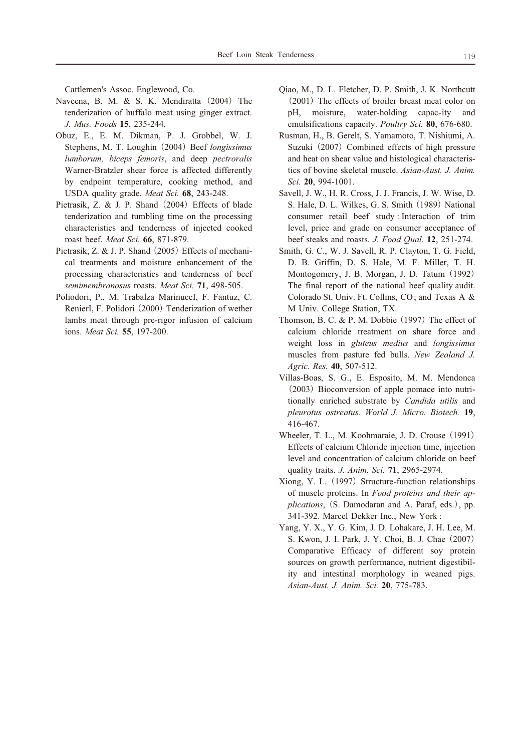Cattlemen's Assoc. Englewood, Co.

- Naveena, B. M. & S. K. Mendiratta (2004) The tenderization of buffalo meat using ginger extract. J. Mus. Foods 15, 235-244.
- Obuz, E., E. M. Dikman, P. J. Grobbel, W. J. Stephens, M. T. Loughin (2004) Beef *longissimus* lumborum, biceps femoris, and deep pectroralis Warner-Bratzler shear force is affected differently by endpoint temperature, cooking method, and USDA quality grade. Meat Sci. 68, 243-248.
- Pietrasik, Z. & J. P. Shand (2004) Effects of blade tenderization and tumbling time on the processing characteristics and tenderness of injected cooked roast beef. Meat Sci. 66, 871-879.
- Pietrasik, Z. & J. P. Shand (2005) Effects of mechanical treatments and moisture enhancement of the processing characteristics and tenderness of beef semimembranosus roasts. Meat Sci. 71, 498-505.
- Poliodori, P., M. Trabalza MarinuccI, F. Fantuz, C. RenierI, F. Polidori (2000) Tenderization of wether lambs meat through pre-rigor infusion of calcium ions. Meat Sci. 55, 197-200.
- Qiao, M., D. L. Fletcher, D. P. Smith, J. K. Northcutt (2001) The effects of broiler breast meat color on pH, moisture, water-holding capac-ity and emulsifications capacity. Poultry Sci. 80, 676-680.
- Rusman, H., B. Gerelt, S. Yamamoto, T. Nishiumi, A. Suzuki (2007) Combined effects of high pressure and heat on shear value and histological characteristics of bovine skeletal muscle. Asian-Aust. J. Anim. Sci. 20, 994-1001.
- Savell, J. W., H. R. Cross, J. J. Francis, J. W. Wise, D. S. Hale, D. L. Wilkes, G. S. Smith (1989) National consumer retail beef study: Interaction of trim level, price and grade on consumer acceptance of beef steaks and roasts. J. Food Qual. 12, 251-274.
- Smith, G. C., W. J. Savell, R. P. Clayton, T. G. Field, D. B. Griffin, D. S. Hale, M. F. Miller, T. H. Montogomery, J. B. Morgan, J. D. Tatum (1992) The final report of the national beef quality audit. Colorado St. Univ. Ft. Collins, CO; and Texas A & M Univ. College Station, TX.
- Thomson, B. C. & P. M. Dobbie (1997) The effect of calcium chloride treatment on share force and weight loss in *gluteus* medius and *longissimus* muscles from pasture fed bulls. New Zealand J. Agric. Res. 40, 507-512.
- Villas-Boas, S. G., E. Esposito, M. M. Mendonca (2003) Bioconversion of apple pomace into nutritionally enriched substrate by Candida utilis and pleurotus ostreatus. World J. Micro. Biotech. 19, 416-467.
- Wheeler, T. L., M. Koohmaraie, J. D. Crouse (1991) Effects of calcium Chloride injection time, injection level and concentration of calcium chloride on beef quality traits. J. Anim. Sci. 71, 2965-2974.
- Xiong, Y. L. (1997) Structure-function relationships of muscle proteins. In Food proteins and their applications, (S. Damodaran and A. Paraf, eds.), pp. 341-392. Marcel Dekker Inc., New York:
- Yang, Y. X., Y. G. Kim, J. D. Lohakare, J. H. Lee, M. S. Kwon, J. I. Park, J. Y. Choi, B. J. Chae (2007) Comparative Efficacy of different soy protein sources on growth performance, nutrient digestibility and intestinal morphology in weaned pigs. Asian-Aust. J. Anim. Sci. 20, 775-783.